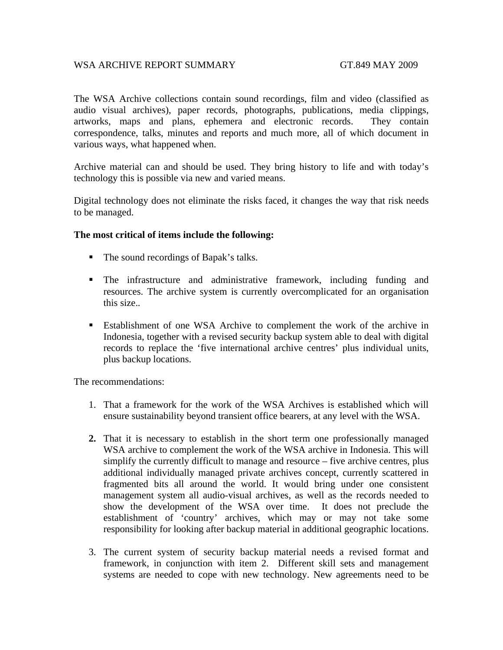## WSA ARCHIVE REPORT SUMMARY GT.849 MAY 2009

The WSA Archive collections contain sound recordings, film and video (classified as audio visual archives), paper records, photographs, publications, media clippings, artworks, maps and plans, ephemera and electronic records. They contain correspondence, talks, minutes and reports and much more, all of which document in various ways, what happened when.

Archive material can and should be used. They bring history to life and with today's technology this is possible via new and varied means.

Digital technology does not eliminate the risks faced, it changes the way that risk needs to be managed.

## **The most critical of items include the following:**

- The sound recordings of Bapak's talks.
- The infrastructure and administrative framework, including funding and resources. The archive system is currently overcomplicated for an organisation this size.*.*
- Establishment of one WSA Archive to complement the work of the archive in Indonesia, together with a revised security backup system able to deal with digital records to replace the 'five international archive centres' plus individual units, plus backup locations.

The recommendations:

- 1. That a framework for the work of the WSA Archives is established which will ensure sustainability beyond transient office bearers, at any level with the WSA.
- **2.** That it is necessary to establish in the short term one professionally managed WSA archive to complement the work of the WSA archive in Indonesia. This will simplify the currently difficult to manage and resource – five archive centres, plus additional individually managed private archives concept, currently scattered in fragmented bits all around the world. It would bring under one consistent management system all audio-visual archives, as well as the records needed to show the development of the WSA over time. It does not preclude the establishment of 'country' archives, which may or may not take some responsibility for looking after backup material in additional geographic locations.
- 3. The current system of security backup material needs a revised format and framework, in conjunction with item 2. Different skill sets and management systems are needed to cope with new technology. New agreements need to be